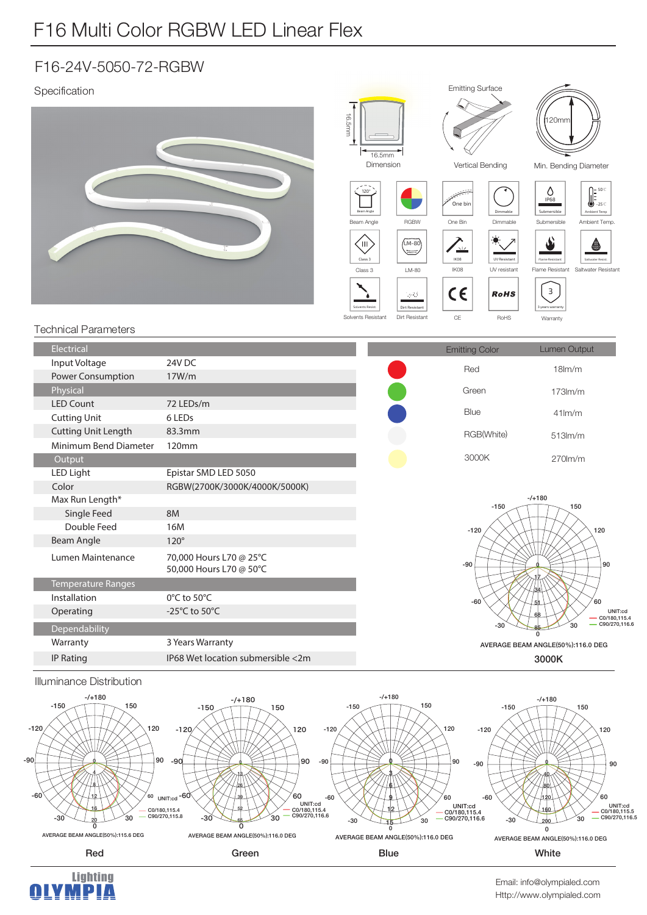## F16 Multi Color RGBW LED Linear Flex

### F16-24V-5050-72-RGBW

#### Specification









Http://www.olympialed.com Email: info@olympialed.com